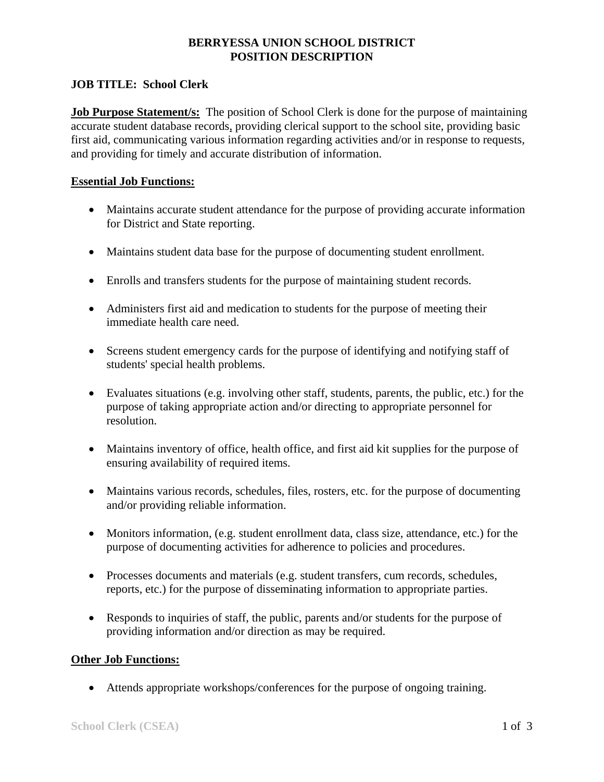# **BERRYESSA UNION SCHOOL DISTRICT POSITION DESCRIPTION**

# **JOB TITLE: School Clerk**

**Job Purpose Statement/s:** The position of School Clerk is done for the purpose of maintaining accurate student database records, providing clerical support to the school site, providing basic first aid, communicating various information regarding activities and/or in response to requests, and providing for timely and accurate distribution of information.

### **Essential Job Functions:**

- Maintains accurate student attendance for the purpose of providing accurate information for District and State reporting.
- Maintains student data base for the purpose of documenting student enrollment.
- Enrolls and transfers students for the purpose of maintaining student records.
- Administers first aid and medication to students for the purpose of meeting their immediate health care need.
- Screens student emergency cards for the purpose of identifying and notifying staff of students' special health problems.
- Evaluates situations (e.g. involving other staff, students, parents, the public, etc.) for the purpose of taking appropriate action and/or directing to appropriate personnel for resolution.
- Maintains inventory of office, health office, and first aid kit supplies for the purpose of ensuring availability of required items.
- Maintains various records, schedules, files, rosters, etc. for the purpose of documenting and/or providing reliable information.
- Monitors information, (e.g. student enrollment data, class size, attendance, etc.) for the purpose of documenting activities for adherence to policies and procedures.
- Processes documents and materials (e.g. student transfers, cum records, schedules, reports, etc.) for the purpose of disseminating information to appropriate parties.
- Responds to inquiries of staff, the public, parents and/or students for the purpose of providing information and/or direction as may be required.

# **Other Job Functions:**

• Attends appropriate workshops/conferences for the purpose of ongoing training.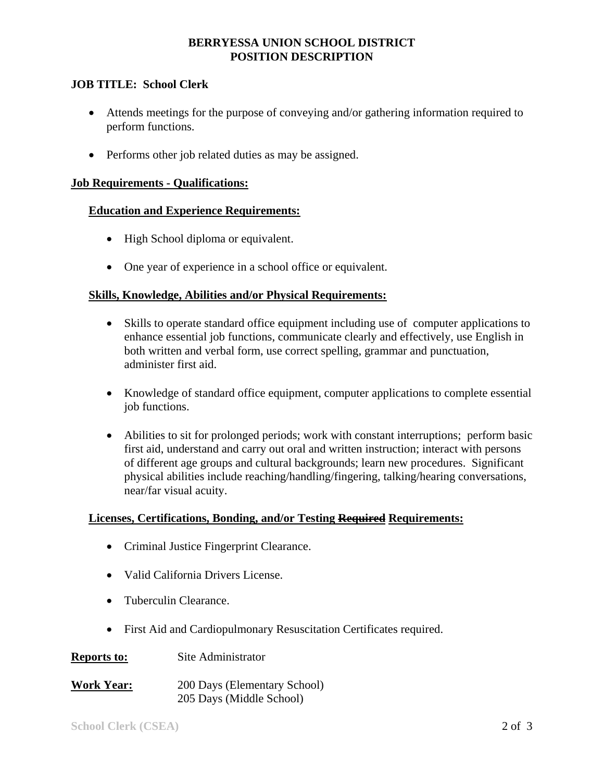## **BERRYESSA UNION SCHOOL DISTRICT POSITION DESCRIPTION**

### **JOB TITLE: School Clerk**

- Attends meetings for the purpose of conveying and/or gathering information required to perform functions.
- Performs other job related duties as may be assigned.

#### **Job Requirements - Qualifications:**

#### **Education and Experience Requirements:**

- High School diploma or equivalent.
- One year of experience in a school office or equivalent.

#### **Skills, Knowledge, Abilities and/or Physical Requirements:**

- Skills to operate standard office equipment including use of computer applications to enhance essential job functions, communicate clearly and effectively, use English in both written and verbal form, use correct spelling, grammar and punctuation, administer first aid.
- Knowledge of standard office equipment, computer applications to complete essential job functions.
- Abilities to sit for prolonged periods; work with constant interruptions; perform basic first aid, understand and carry out oral and written instruction; interact with persons of different age groups and cultural backgrounds; learn new procedures. Significant physical abilities include reaching/handling/fingering, talking/hearing conversations, near/far visual acuity.

#### Licenses, Certifications, Bonding, and/or Testing Required Requirements:

- Criminal Justice Fingerprint Clearance.
- Valid California Drivers License.
- Tuberculin Clearance.
- First Aid and Cardiopulmonary Resuscitation Certificates required.
- **Reports to:** Site Administrator
- **Work Year:** 200 Days (Elementary School) 205 Days (Middle School)